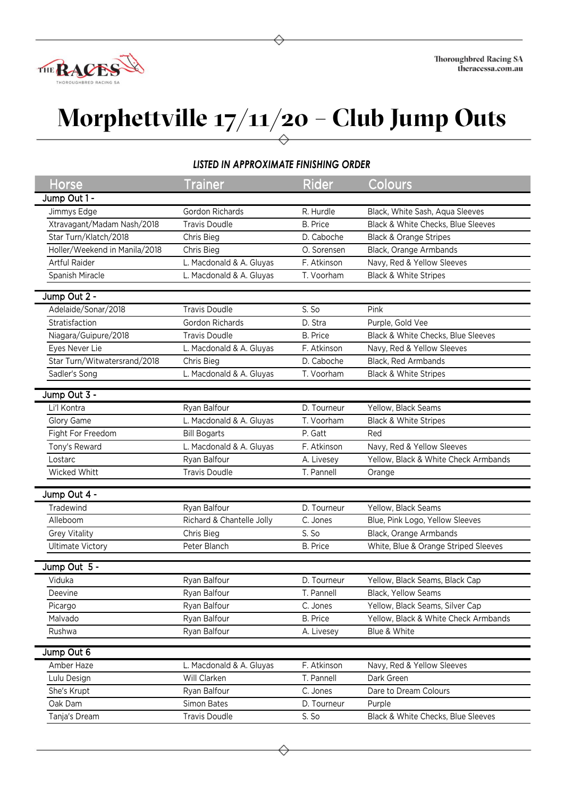

## **Morphettville 17/11/20 – Club Jump Outs**

## *LISTED IN APPROXIMATE FINISHING ORDER*

| <b>Horse</b>                  | <b>Trainer</b>            | Rider           | Colours                              |
|-------------------------------|---------------------------|-----------------|--------------------------------------|
| Jump Out 1 -                  |                           |                 |                                      |
| Jimmys Edge                   | Gordon Richards           | R. Hurdle       | Black, White Sash, Aqua Sleeves      |
| Xtravagant/Madam Nash/2018    | <b>Travis Doudle</b>      | <b>B.</b> Price | Black & White Checks, Blue Sleeves   |
| Star Turn/Klatch/2018         | Chris Bieg                | D. Caboche      | <b>Black &amp; Orange Stripes</b>    |
| Holler/Weekend in Manila/2018 | Chris Bieg                | O. Sorensen     | Black, Orange Armbands               |
| Artful Raider                 | L. Macdonald & A. Gluyas  | F. Atkinson     | Navy, Red & Yellow Sleeves           |
| Spanish Miracle               | L. Macdonald & A. Gluyas  | T. Voorham      | Black & White Stripes                |
| Jump Out 2 -                  |                           |                 |                                      |
| Adelaide/Sonar/2018           | <b>Travis Doudle</b>      | S. So           | Pink                                 |
| Stratisfaction                | Gordon Richards           | D. Stra         | Purple, Gold Vee                     |
| Niagara/Guipure/2018          | <b>Travis Doudle</b>      | <b>B.</b> Price | Black & White Checks, Blue Sleeves   |
| Eyes Never Lie                | L. Macdonald & A. Gluyas  | F. Atkinson     | Navy, Red & Yellow Sleeves           |
| Star Turn/Witwatersrand/2018  | Chris Bieg                | D. Caboche      | <b>Black, Red Armbands</b>           |
|                               | L. Macdonald & A. Gluyas  | T. Voorham      | <b>Black &amp; White Stripes</b>     |
| Sadler's Song                 |                           |                 |                                      |
| Jump Out 3 -                  |                           |                 |                                      |
| Li'l Kontra                   | Ryan Balfour              | D. Tourneur     | Yellow, Black Seams                  |
| Glory Game                    | L. Macdonald & A. Gluyas  | T. Voorham      | <b>Black &amp; White Stripes</b>     |
| Fight For Freedom             | <b>Bill Bogarts</b>       | P. Gatt         | Red                                  |
| Tony's Reward                 | L. Macdonald & A. Gluyas  | F. Atkinson     | Navy, Red & Yellow Sleeves           |
| Lostarc                       | Ryan Balfour              | A. Livesey      | Yellow, Black & White Check Armbands |
| Wicked Whitt                  | <b>Travis Doudle</b>      | T. Pannell      | Orange                               |
|                               |                           |                 |                                      |
| Jump Out 4 -                  |                           |                 |                                      |
| Tradewind                     | Ryan Balfour              | D. Tourneur     | Yellow, Black Seams                  |
| Alleboom                      | Richard & Chantelle Jolly | C. Jones        | Blue, Pink Logo, Yellow Sleeves      |
| <b>Grey Vitality</b>          | Chris Bieg                | S. So           | Black, Orange Armbands               |
| <b>Ultimate Victory</b>       | Peter Blanch              | <b>B.</b> Price | White, Blue & Orange Striped Sleeves |
| Jump Out 5 -                  |                           |                 |                                      |
| Viduka                        | Ryan Balfour              | D. Tourneur     | Yellow, Black Seams, Black Cap       |
| Deevine                       | Ryan Balfour              | T. Pannell      | Black, Yellow Seams                  |
| Picargo                       | Ryan Balfour              | C. Jones        | Yellow, Black Seams, Silver Cap      |
| Malvado                       | Ryan Balfour              | <b>B.</b> Price | Yellow, Black & White Check Armbands |
| Rushwa                        | Ryan Balfour              | A. Livesey      | Blue & White                         |
|                               |                           |                 |                                      |
| Jump Out 6                    |                           |                 |                                      |
| Amber Haze                    | L. Macdonald & A. Gluyas  | F. Atkinson     | Navy, Red & Yellow Sleeves           |
| Lulu Design                   | Will Clarken              | T. Pannell      | Dark Green                           |
| She's Krupt                   | Ryan Balfour              | C. Jones        | Dare to Dream Colours                |
| Oak Dam                       | <b>Simon Bates</b>        | D. Tourneur     | Purple                               |
| Tanja's Dream                 | <b>Travis Doudle</b>      | S. So           | Black & White Checks, Blue Sleeves   |